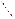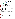## **THE ENVIRONMENTAL TECHNOLOGY VERIFICATION PROGRAM**







# **ETV Joint Verification Statement**

|                     | TECHNOLOGY TYPE: PORTABLE CYANIDE ANALYZER                                                 |             |                                         |
|---------------------|--------------------------------------------------------------------------------------------|-------------|-----------------------------------------|
| <b>APPLICATION:</b> | DETECTING CYANIDE IN WATER                                                                 |             |                                         |
|                     | <b>TECHNOLOGY NAME: 1919 SMART 2 Colorimeter with the</b><br><b>3660-SC Reagent System</b> |             |                                         |
| <b>COMPANY:</b>     | <b>LaMotte Company</b>                                                                     |             |                                         |
| <b>ADDRESS:</b>     | <b>802 Washington Avenue</b><br>Chesterton, MD 21620                                       | <b>FAX:</b> | PHONE: 1-800-344-3100<br>1-410-778-6394 |
| <b>WEB SITE:</b>    | http://www.lamotte.com                                                                     |             |                                         |
| $E\text{-}MAIL:$    | jwe@lamotte.com                                                                            |             |                                         |

The U.S. Environmental Protection Agency (EPA) supports the Environmental Technology Verification (ETV) Program to facilitate the deployment of innovative or improved environmental technologies through performance verification and dissemination of information. The goal of the ETV Program is to further environmental protection by substantially accelerating the acceptance and use of improved and cost-effective technologies. ETV seeks to achieve this goal by providing high-quality, peer-reviewed data on technology performance to those involved in the design, distribution, financing, permitting, purchase, and use of environmental technologies.

ETV works in partnership with recognized standards and testing organizations, with stakeholder groups (consisting of buyers, vendor organizations, and permitters), and with individual technology developers. The program evaluates the performance of innovative technologies by developing test plans that are responsive to the needs of stakeholders, conducting field or laboratory tests (as appropriate), collecting and analyzing data, and preparing peer-reviewed reports. All evaluations are conducted in accordance with rigorous quality assurance (QA) protocols to ensure that data of known and adequate quality are generated and that the results are defensible.

The Advanced Monitoring Systems (AMS) Center, one of seven technology areas under ETV, is operated by Battelle in cooperation with EPA's National Exposure Research Laboratory. The AMS Center has recently evaluated the performance of portable cyanide analyzers used to detect cyanide in water. This verification statement provides a summary of the test results for the 1919 LaMotte SMART 2 colorimeter with the 3660-SC Reagent System.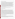## **VERIFICATION TEST DESCRIPTION**

The verification was based on comparing the cyanide concentrations of water samples determined by the LaMotte SMART 2 with cyanide concentrations determined by a laboratory-based reference method (EPA Method 335.1, *Cyanides Amenable to Chlorination*). The LaMotte SMART 2 colorimeter was always used in conjunction with the 3660-SC reagent system. Two LaMotte SMART 2s were tested independently between January 13 and February 4, 2003; and the results were compared to assess inter-unit reproducibility. Samples used in the verification test included quality control samples, performance test (PT) samples, lethal/near-lethal concentration samples, drinking water samples, and surface water samples. The results from the LaMotte SMART 2 were compared with the reference method to quantitatively assess accuracy and linearity. Multiple aliquots of each test sample were analyzed separately to assess the precision of both the LaMotte SMART 2s and the reference method. To determine the detection limit, a solution with a concentration of 0.05 milligrams per liter (mg/L) was used. Seven non-consecutive replicate analyses of this solution were made to obtain precision data with which to determine the method detection limit (MDL). The LaMotte SMART 2 was tested by a technical and a nontechnical operator to assess operator bias. Sample throughput was estimated based on the time required to analyze a sample. Ease of use was based on documented observations by the operators and the Battelle Verification Test Coordinator. The LaMotte SMART 2 was used in a field environment as well as in a laboratory setting to assess the impact of field conditions on performance.

QA oversight of verification testing was provided by Battelle. Battelle QA staff conducted a technical systems audit, a performance evaluation audit, and a data quality audit of 10% of the test data.

## **TECHNOLOGY DESCRIPTION**

The following description of the LaMotte SMART 2 was provided by the vendor and does not represent verified information.

The LaMotte SMART 2 is a portable colorimeter in which a sample and a reagent are reacted. The reaction produces a color whose intensity is proportional to the concentration of the analyte. The color is measured photometrically to provide a quantitative determination of the analyte in the sample. The LaMotte SMART 2 uses LED light sources and filtered photodiode detectors. To measure cyanide with the LaMotte SMART 2, a 10-milliliter (mL) sample is measured into a sample vial, and 1 mL of reagent is added to the sample with the disposable pipet. The sample is shaken, two other granular reagents are added using the provided scoops, and the sample is shaken again. If any cyanide is present in the water sample, a reaction between cyanide and the reagents added to the sample produces a color change. After a 20-minute color development period, the sample vial is inserted into the LaMotte SMART 2; and the cyanide concentration (in parts per million) is reported on the digital display. For consistency with the results reported by the reference laboratory, the data produced by the LaMotte SMART 2 are reported in the equivalent units of milligrams per liter (mg/L). The range of the LaMotte SMART 2 cyanide test is 0 to 0.50 parts per million. It has automatic wavelength selection and is supplied with four sample tubes, an AC adapter, and an instruction manual including test procedures. The dimensions of the LaMotte SMART 2 are  $15 \times 8 \times 5.5$  centimeters (6 x 3.25 x 2.5 inches), and it weighs 312 grams (11 ounces). The LaMotte SMART 2 operates at 120V/60Hz or 220V/50Hs. The list price for this unit is \$725.00 for the colorimeter and \$64.00 for reagents adequate for 50 water samples.

## **VERIFICATION OF PERFORMANCE**

**Accuracy:** Biases for the LaMotte SMART 2 ranged from 2 to 31% for the PT samples with concentrations ranging from 0.030 to 0.800 mg/L; 11 to 30% for the surface water samples; 5 to 41% for the drinking water samples from around the country; and 15 to 100% for the Columbus, OH, drinking water samples. Since the latter three types of water samples contained no detectable cyanide, they were fortified with 0.200 mg/L of cyanide to test the performance of the LaMotte SMART 2 in water matrices.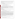**Precision:** Relative standard deviation ranged from 0 to 20% for the PT samples; 10 to 39% for the surface water samples; 3 to 53% for the drinking water samples from around the country; 4 to 77% for the Columbus, OH, drinking water samples.

**Linearity:** The non-technical operator's results from the LaMotte SMART 2 for the PT samples (0.030 to 0.400 mg/L) plotted against the concentrations of the same samples as determined by the reference method gives the following regression equation:

y (non-technical operator results in mg/L)=0.995 ( $\pm$  0.059) x (reference result in mg/L)  $+ 0.018 (\pm 0.013)$  mg/L with r<sup>2</sup>=0.975 and N=32.

The data for the technical operator gives the following regression equation:

y (technical operator results in mg/L)=0.879 ( $\pm$  0.068) x (reference result in mg/L)  $+ 0.011$  ( $\pm 0.015$ ) mg/L with r<sup>2</sup>=0.959 and N=32.

where the values in parentheses represent the 95% confidence interval of the slope and intercept. Only the non-technical operator's intercept is significantly different from zero, and the  $r^2$  values are both above 0.950. The non-technical operator's slope is not significantly different from unity; whereas, the technical operator's slope is significantly different from unity. However, at the 95% confidence level, the uncertainty around both slopes is such that they are not significantly different from one another.

**Method Detection Limit:** The MDL was determined to be 0.02 mg/L for the LaMotte SMART 2 when used by either operator.

**Inter-Unit Reproducibility:** A linear regression of the data for the inter-unit reproducibility assessment gives the following regression equation:

y (Unit #1 result in mg/L)=0.996 ( $\pm$  0.013) x (Unit #2 result in mg/L) - 0.0005  $(\pm 0.003)$  mg/L with r<sup>2</sup>=0.995 and N=120.

where the values in parentheses represent the 95% confidence interval of the slope and intercept. The slope is not significantly different from unity, and the intercept is not significantly different from zero. These data indicate that the two LaMotte SMART 2s functioned very similarly to one another.

**Lethal/Near-Lethal Dose Response:** Samples at 50.0-, 100-, and 250-mg/L concentrations (close to what may be lethal if a volume the size of a typical glass of water was ingested) were prepared and analyzed by the LaMotte SMART 2. Upon the addition of the reagents to the water sample, the color of the sample changed within five seconds to orange and, after approximately 35 more seconds, to dark red. The change was much more rapid than for any of the PT samples. The PT samples took about 30 seconds to produce a small change in the color of the sample and took the full 20-minute reaction time to reach its analysis color of a clear lavender. When the samples with lethal/near-lethal concentrations were inserted into the LaMotte SMART 2 after the full reaction time, the digital readout read "over range." Even without using the LaMotte SMART 2 colorimeter, the reagents and glass vials would be useful for a first responder seeking to find out whether a toxic level of cyanide is present in a drinking water sample. The presence of such concentrations could be confirmed within minutes by visual observation of the color development process.

**Operator Bias:** A linear regression of the data for the operator bias assessment gives the following regression equation:

y (non-tech result in mg/L)=1.024 ( $\pm$  0.113) x (tech result in mg/L) + 0.002  $(\pm 0.018)$  mg/L with r<sup>2</sup>=0.732 and N=120.